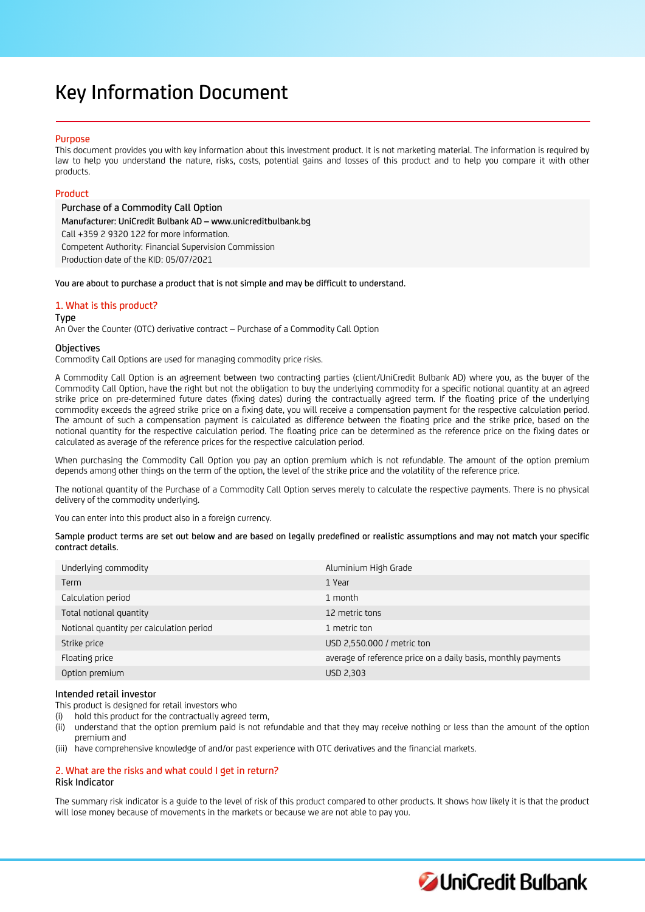# Key Information Document

# Purpose

This document provides you with key information about this investment product. It is not marketing material. The information is required by law to help you understand the nature, risks, costs, potential gains and losses of this product and to help you compare it with other products.

# Product

Purchase of a Commodity Call Option Manufacturer: UniCredit Bulbank AD – www.unicreditbulbank.bg Call +359 2 9320 122 for more information. Competent Authority: Financial Supervision Commission Production date of the KID: 05/07/2021

You are about to purchase a product that is not simple and may be difficult to understand.

# 1. What is this product?

#### Type

An Over the Counter (OTC) derivative contract – Purchase of a Commodity Call Option

## **Objectives**

Commodity Call Options are used for managing commodity price risks.

A Commodity Call Option is an agreement between two contracting parties (client/UniCredit Bulbank AD) where you, as the buyer of the Commodity Call Option, have the right but not the obligation to buy the underlying commodity for a specific notional quantity at an agreed strike price on pre-determined future dates (fixing dates) during the contractually agreed term. If the floating price of the underlying commodity exceeds the agreed strike price on a fixing date, you will receive a compensation payment for the respective calculation period. The amount of such a compensation payment is calculated as difference between the floating price and the strike price, based on the notional quantity for the respective calculation period. The floating price can be determined as the reference price on the fixing dates or calculated as average of the reference prices for the respective calculation period.

When purchasing the Commodity Call Option you pay an option premium which is not refundable. The amount of the option premium depends among other things on the term of the option, the level of the strike price and the volatility of the reference price.

The notional quantity of the Purchase of a Commodity Call Option serves merely to calculate the respective payments. There is no physical delivery of the commodity underlying.

You can enter into this product also in a foreign currency.

Sample product terms are set out below and are based on legally predefined or realistic assumptions and may not match your specific contract details.

| Underlying commodity                     | Aluminium High Grade                                          |
|------------------------------------------|---------------------------------------------------------------|
| Term                                     | 1 Year                                                        |
| Calculation period                       | 1 month                                                       |
| Total notional quantity                  | 12 metric tons                                                |
| Notional quantity per calculation period | 1 metric ton                                                  |
| Strike price                             | USD 2,550.000 / metric ton                                    |
| Floating price                           | average of reference price on a daily basis, monthly payments |
| Option premium                           | USD 2,303                                                     |

# Intended retail investor

This product is designed for retail investors who

hold this product for the contractually agreed term,

- (ii) understand that the option premium paid is not refundable and that they may receive nothing or less than the amount of the option premium and
- (iii) have comprehensive knowledge of and/or past experience with OTC derivatives and the financial markets.

# 2. What are the risks and what could I get in return?

# Risk Indicator

The summary risk indicator is a guide to the level of risk of this product compared to other products. It shows how likely it is that the product will lose money because of movements in the markets or because we are not able to pay you.

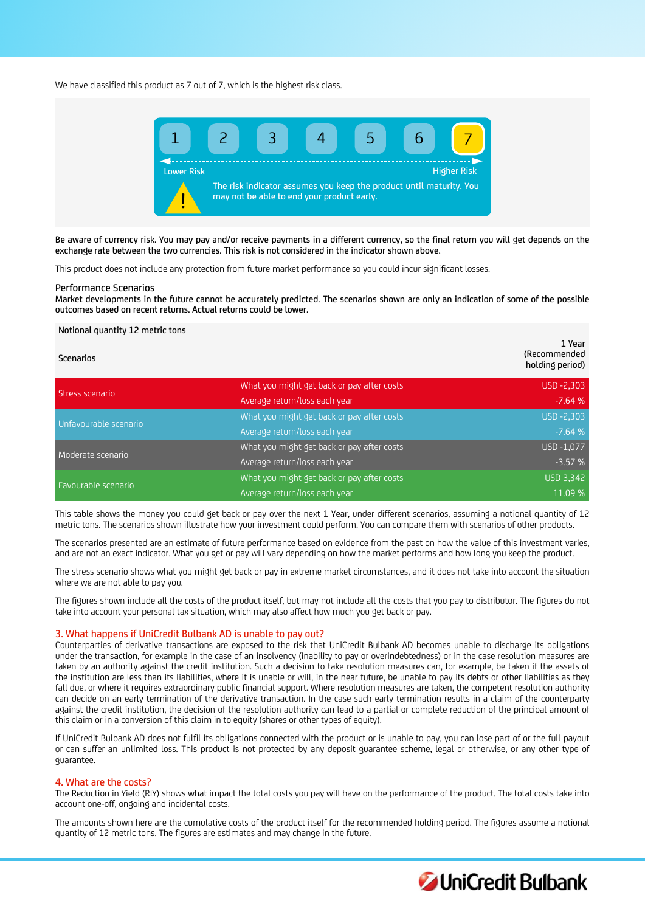We have classified this product as 7 out of 7, which is the highest risk class.



Be aware of currency risk. You may pay and/or receive payments in a different currency, so the final return you will get depends on the exchange rate between the two currencies. This risk is not considered in the indicator shown above.

This product does not include any protection from future market performance so you could incur significant losses.

#### Performance Scenarios

Market developments in the future cannot be accurately predicted. The scenarios shown are only an indication of some of the possible outcomes based on recent returns. Actual returns could be lower.

#### Notional quantity 12 metric tons

| <b>Scenarios</b>      |                                            | 1 Year<br>(Recommended<br>holding period) |
|-----------------------|--------------------------------------------|-------------------------------------------|
| Stress scenario       | What you might get back or pay after costs | USD -2,303                                |
|                       | Average return/loss each year              | $-7.64%$                                  |
| Unfavourable scenario | What you might get back or pay after costs | USD -2,303                                |
|                       | Average return/loss each year              | $-7.64%$                                  |
| Moderate scenario     | What you might get back or pay after costs | USD -1,077                                |
|                       | Average return/loss each year              | $-3.57%$                                  |
| Favourable scenario   | What you might get back or pay after costs | USD 3,342                                 |
|                       | Average return/loss each year              | 11.09 %                                   |

This table shows the money you could get back or pay over the next 1 Year, under different scenarios, assuming a notional quantity of 12 metric tons. The scenarios shown illustrate how your investment could perform. You can compare them with scenarios of other products.

The scenarios presented are an estimate of future performance based on evidence from the past on how the value of this investment varies, and are not an exact indicator. What you get or pay will vary depending on how the market performs and how long you keep the product.

The stress scenario shows what you might get back or pay in extreme market circumstances, and it does not take into account the situation where we are not able to pay you.

The figures shown include all the costs of the product itself, but may not include all the costs that you pay to distributor. The figures do not take into account your personal tax situation, which may also affect how much you get back or pay.

#### 3. What happens if UniCredit Bulbank AD is unable to pay out?

Counterparties of derivative transactions are exposed to the risk that UniCredit Bulbank AD becomes unable to discharge its obligations under the transaction, for example in the case of an insolvency (inability to pay or overindebtedness) or in the case resolution measures are taken by an authority against the credit institution. Such a decision to take resolution measures can, for example, be taken if the assets of the institution are less than its liabilities, where it is unable or will, in the near future, be unable to pay its debts or other liabilities as they fall due, or where it requires extraordinary public financial support. Where resolution measures are taken, the competent resolution authority can decide on an early termination of the derivative transaction. In the case such early termination results in a claim of the counterparty against the credit institution, the decision of the resolution authority can lead to a partial or complete reduction of the principal amount of this claim or in a conversion of this claim in to equity (shares or other types of equity).

If UniCredit Bulbank AD does not fulfil its obligations connected with the product or is unable to pay, you can lose part of or the full payout or can suffer an unlimited loss. This product is not protected by any deposit guarantee scheme, legal or otherwise, or any other type of guarantee.

### 4. What are the costs?

The Reduction in Yield (RIY) shows what impact the total costs you pay will have on the performance of the product. The total costs take into account one-off, ongoing and incidental costs.

The amounts shown here are the cumulative costs of the product itself for the recommended holding period. The figures assume a notional quantity of 12 metric tons. The figures are estimates and may change in the future.